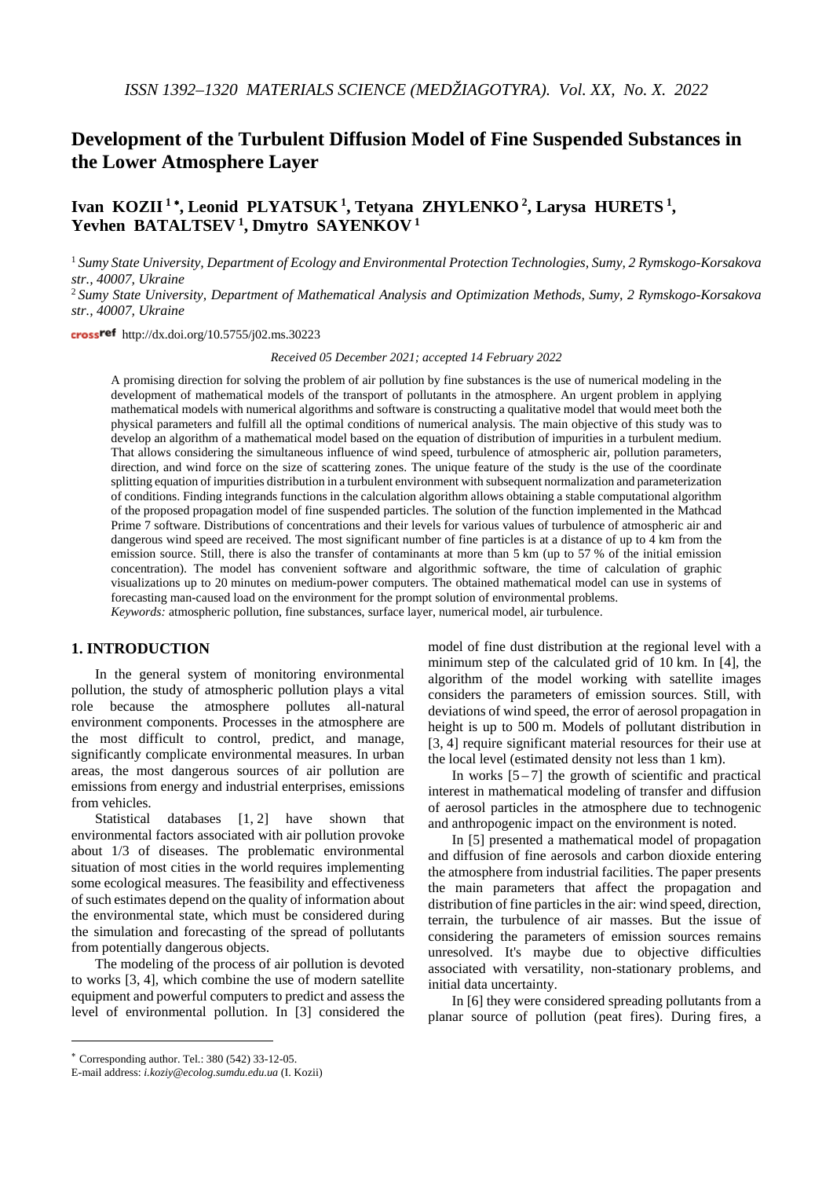# **Development of the Turbulent Diffusion Model of Fine Suspended Substances in the Lower Atmosphere Layer**

# **Ivan KOZII <sup>1</sup>** <sup>∗</sup> **, Leonid PLYATSUK 1, Tetyana ZHYLENKO 2, Larysa HURETS 1, Yevhen BATALTSEV <sup>1</sup> , Dmytro SAYENKOV <sup>1</sup>**

<sup>1</sup> *Sumy State University, Department of Ecology and Environmental Protection Technologies, Sumy, 2 Rymskogo-Korsakova str., 40007, Ukraine*

<sup>2</sup> *Sumy State University, Department of Mathematical Analysis and Optimization Methods, Sumy, 2 Rymskogo-Korsakova str., 40007, Ukraine*

cross<sup>ref</sup> http://dx.doi.org/10.5755/j02.ms.30223

*Received 05 December 2021; accepted 14 February 2022*

A promising direction for solving the problem of air pollution by fine substances is the use of numerical modeling in the development of mathematical models of the transport of pollutants in the atmosphere. An urgent problem in applying mathematical models with numerical algorithms and software is constructing a qualitative model that would meet both the physical parameters and fulfill all the optimal conditions of numerical analysis. The main objective of this study was to develop an algorithm of a mathematical model based on the equation of distribution of impurities in a turbulent medium. That allows considering the simultaneous influence of wind speed, turbulence of atmospheric air, pollution parameters, direction, and wind force on the size of scattering zones. The unique feature of the study is the use of the coordinate splitting equation of impurities distribution in a turbulent environment with subsequent normalization and parameterization of conditions. Finding integrands functions in the calculation algorithm allows obtaining a stable computational algorithm of the proposed propagation model of fine suspended particles. The solution of the function implemented in the Mathcad Prime 7 software. Distributions of concentrations and their levels for various values of turbulence of atmospheric air and dangerous wind speed are received. The most significant number of fine particles is at a distance of up to 4 km from the emission source. Still, there is also the transfer of contaminants at more than 5 km (up to 57 % of the initial emission concentration). The model has convenient software and algorithmic software, the time of calculation of graphic visualizations up to 20 minutes on medium-power computers. The obtained mathematical model can use in systems of forecasting man-caused load on the environment for the prompt solution of environmental problems. *Keywords:* atmospheric pollution, fine substances, surface layer, numerical model, air turbulence.

# **1. INTRODUCTION**[∗](#page-0-0)

In the general system of monitoring environmental pollution, the study of atmospheric pollution plays a vital role because the atmosphere pollutes all-natural environment components. Processes in the atmosphere are the most difficult to control, predict, and manage, significantly complicate environmental measures. In urban areas, the most dangerous sources of air pollution are emissions from energy and industrial enterprises, emissions from vehicles.

Statistical databases [1, 2] have shown that environmental factors associated with air pollution provoke about 1/3 of diseases. The problematic environmental situation of most cities in the world requires implementing some ecological measures. The feasibility and effectiveness of such estimates depend on the quality of information about the environmental state, which must be considered during the simulation and forecasting of the spread of pollutants from potentially dangerous objects.

The modeling of the process of air pollution is devoted to works [3, 4], which combine the use of modern satellite equipment and powerful computers to predict and assess the level of environmental pollution. In [3] considered the model of fine dust distribution at the regional level with a minimum step of the calculated grid of 10 km. In [4], the algorithm of the model working with satellite images considers the parameters of emission sources. Still, with deviations of wind speed, the error of aerosol propagation in height is up to 500 m. Models of pollutant distribution in [3, 4] require significant material resources for their use at the local level (estimated density not less than 1 km).

In works  $[5 - 7]$  the growth of scientific and practical interest in mathematical modeling of transfer and diffusion of aerosol particles in the atmosphere due to technogenic and anthropogenic impact on the environment is noted.

In [5] presented a mathematical model of propagation and diffusion of fine aerosols and carbon dioxide entering the atmosphere from industrial facilities. The paper presents the main parameters that affect the propagation and distribution of fine particles in the air: wind speed, direction, terrain, the turbulence of air masses. But the issue of considering the parameters of emission sources remains unresolved. It's maybe due to objective difficulties associated with versatility, non-stationary problems, and initial data uncertainty.

In [6] they were considered spreading pollutants from a planar source of pollution (peat fires). During fires, a

 $\overline{a}$ 

<span id="page-0-0"></span><sup>∗</sup> Corresponding author. Tel.: 380 (542) 33-12-05.

E-mail address: *i.koziy@ecolog.sumdu.edu.ua* (I. Kozii)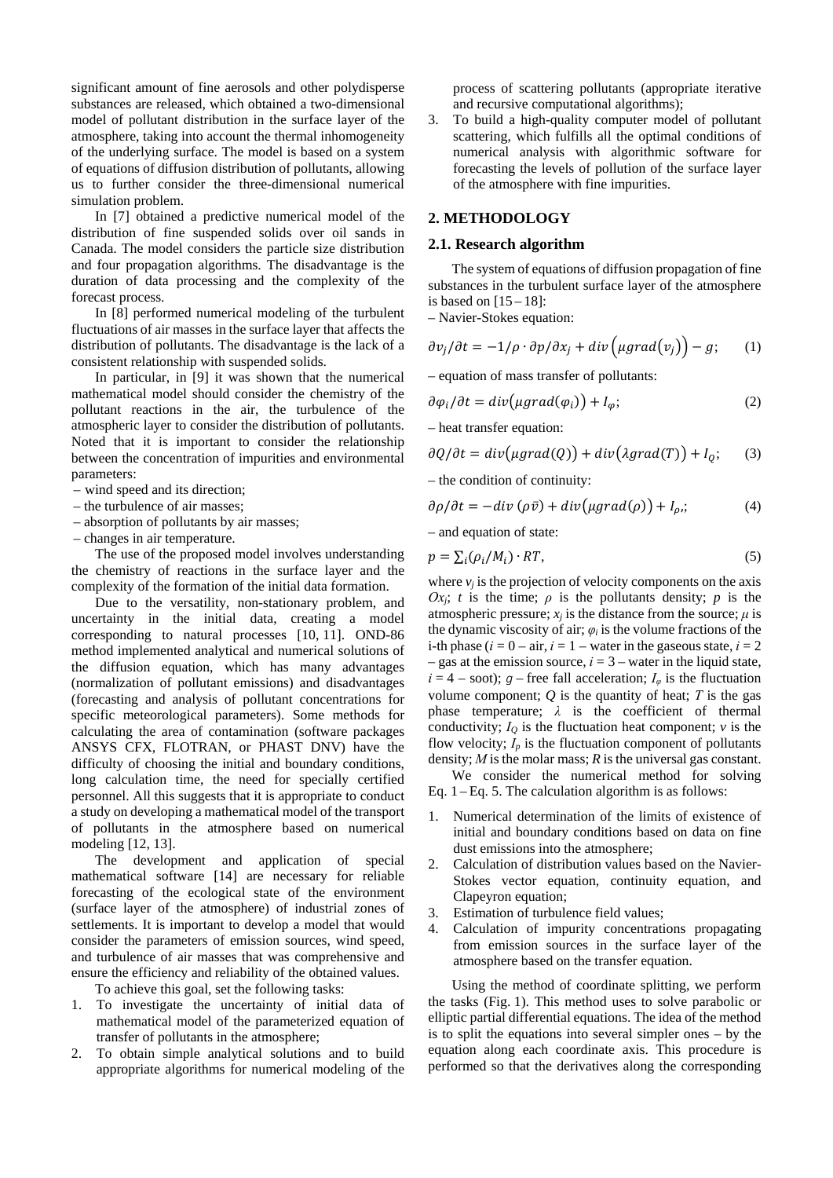significant amount of fine aerosols and other polydisperse substances are released, which obtained a two-dimensional model of pollutant distribution in the surface layer of the atmosphere, taking into account the thermal inhomogeneity of the underlying surface. The model is based on a system of equations of diffusion distribution of pollutants, allowing us to further consider the three-dimensional numerical simulation problem.

In [7] obtained a predictive numerical model of the distribution of fine suspended solids over oil sands in Canada. The model considers the particle size distribution and four propagation algorithms. The disadvantage is the duration of data processing and the complexity of the forecast process.

In [8] performed numerical modeling of the turbulent fluctuations of air masses in the surface layer that affects the distribution of pollutants. The disadvantage is the lack of a consistent relationship with suspended solids.

In particular, in [9] it was shown that the numerical mathematical model should consider the chemistry of the pollutant reactions in the air, the turbulence of the atmospheric layer to consider the distribution of pollutants. Noted that it is important to consider the relationship between the concentration of impurities and environmental parameters:

- wind speed and its direction;
- the turbulence of air masses;
- absorption of pollutants by air masses;
- changes in air temperature.

The use of the proposed model involves understanding the chemistry of reactions in the surface layer and the complexity of the formation of the initial data formation.

Due to the versatility, non-stationary problem, and uncertainty in the initial data, creating a model corresponding to natural processes [10, 11]. OND-86 method implemented analytical and numerical solutions of the diffusion equation, which has many advantages (normalization of pollutant emissions) and disadvantages (forecasting and analysis of pollutant concentrations for specific meteorological parameters). Some methods for calculating the area of contamination (software packages ANSYS CFX, FLOTRAN, or PHAST DNV) have the difficulty of choosing the initial and boundary conditions, long calculation time, the need for specially certified personnel. All this suggests that it is appropriate to conduct a study on developing a mathematical model of the transport of pollutants in the atmosphere based on numerical modeling [12, 13].

The development and application of special mathematical software [14] are necessary for reliable forecasting of the ecological state of the environment (surface layer of the atmosphere) of industrial zones of settlements. It is important to develop a model that would consider the parameters of emission sources, wind speed, and turbulence of air masses that was comprehensive and ensure the efficiency and reliability of the obtained values.

To achieve this goal, set the following tasks:

- 1. To investigate the uncertainty of initial data of mathematical model of the parameterized equation of transfer of pollutants in the atmosphere;
- 2. To obtain simple analytical solutions and to build appropriate algorithms for numerical modeling of the

process of scattering pollutants (appropriate iterative and recursive computational algorithms);

3. To build a high-quality computer model of pollutant scattering, which fulfills all the optimal conditions of numerical analysis with algorithmic software for forecasting the levels of pollution of the surface layer of the atmosphere with fine impurities.

# **2. METHODOLOGY**

## **2.1. Research algorithm**

The system of equations of diffusion propagation of fine substances in the turbulent surface layer of the atmosphere is based on  $[15 - 18]$ :

– Navier-Stokes equation:

$$
\frac{\partial v_j}{\partial t} = -1/\rho \cdot \frac{\partial p}{\partial x_j} + \text{div}\left(\mu \text{grad}(v_j)\right) - g; \qquad (1)
$$

– equation of mass transfer of pollutants:

$$
\partial \varphi_i / \partial t = \text{div} \big( \mu \text{grad}(\varphi_i) \big) + I_\varphi; \tag{2}
$$

– heat transfer equation:

$$
\partial Q/\partial t = div(\mu grad(Q)) + div(\lambda grad(T)) + I_Q; \quad (3)
$$

– the condition of continuity:

$$
\frac{\partial \rho}{\partial t} = -\text{div} \left( \rho \bar{v} \right) + \text{div} \left( \mu \text{grad}(\rho) \right) + I_{\rho};\tag{4}
$$

– and equation of state:

$$
p = \sum_{i} (\rho_i / M_i) \cdot RT,\tag{5}
$$

where  $v_i$  is the projection of velocity components on the axis *Ox<sub>i</sub>*; *t* is the time; *ρ* is the pollutants density; *p* is the atmospheric pressure;  $x_i$  is the distance from the source;  $\mu$  is the dynamic viscosity of air;  $\varphi_i$  is the volume fractions of the i-th phase  $(i = 0 - air, i = 1 - water$  in the gaseous state,  $i = 2$ – gas at the emission source,  $i = 3$  – water in the liquid state,  $i = 4 -$  soot); *g* – free fall acceleration;  $I_{\varphi}$  is the fluctuation volume component;  $Q$  is the quantity of heat;  $T$  is the gas phase temperature;  $\lambda$  is the coefficient of thermal conductivity;  $I<sub>O</sub>$  is the fluctuation heat component;  $\nu$  is the flow velocity;  $I_p$  is the fluctuation component of pollutants density; *М* is the molar mass; *R* is the universal gas constant.

We consider the numerical method for solving Eq.  $1 - Eq. 5$ . The calculation algorithm is as follows:

- 1. Numerical determination of the limits of existence of initial and boundary conditions based on data on fine dust emissions into the atmosphere;
- 2. Calculation of distribution values based on the Navier-Stokes vector equation, continuity equation, and Clapeyron equation;
- 3. Estimation of turbulence field values;
- 4. Calculation of impurity concentrations propagating from emission sources in the surface layer of the atmosphere based on the transfer equation.

Using the method of coordinate splitting, we perform the tasks (Fig. 1). This method uses to solve parabolic or elliptic partial differential equations. The idea of the method is to split the equations into several simpler ones – by the equation along each coordinate axis. This procedure is performed so that the derivatives along the corresponding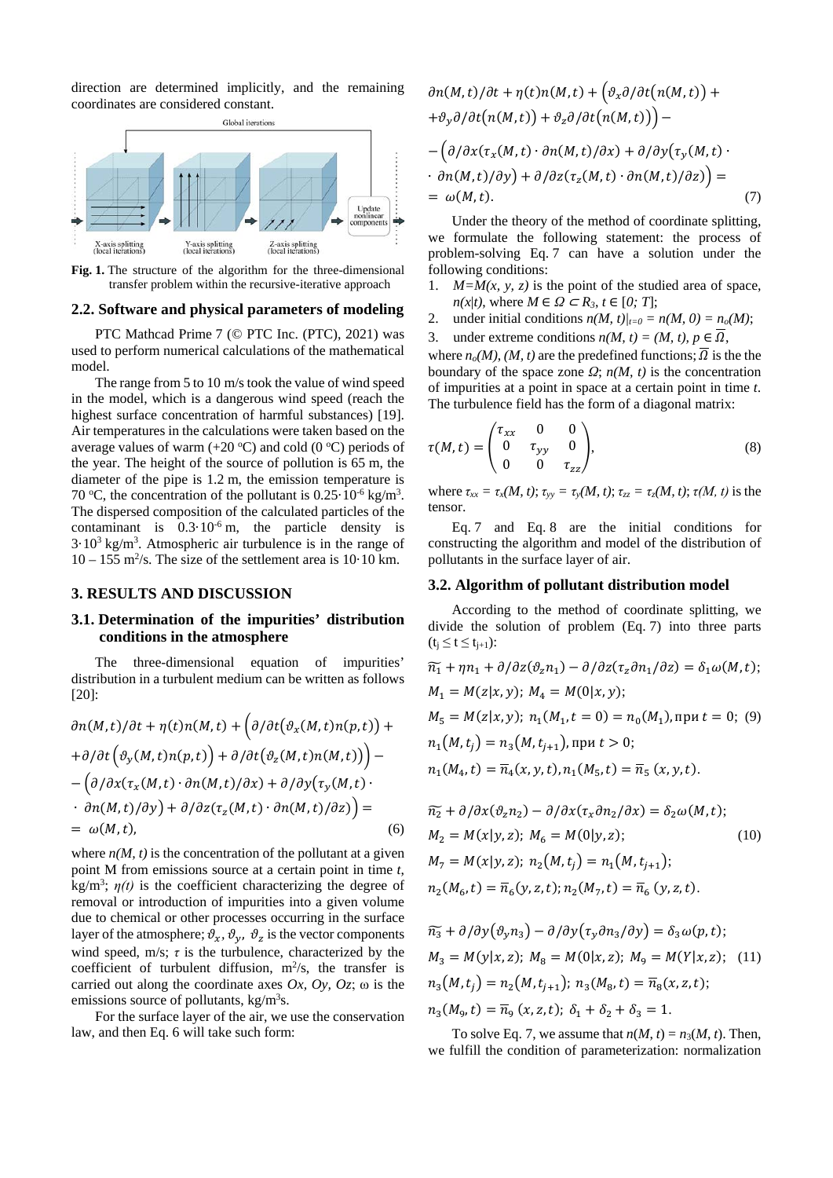direction are determined implicitly, and the remaining coordinates are considered constant.



**Fig. 1.** The structure of the algorithm for the three-dimensional transfer problem within the recursive-iterative approach

#### **2.2. Software and physical parameters of modeling**

PTC Mathcad Prime 7 (© PTC Inc. (PTC), 2021) was used to perform numerical calculations of the mathematical model.

The range from 5 to 10 m/s took the value of wind speed in the model, which is a dangerous wind speed (reach the highest surface concentration of harmful substances) [19]. Air temperatures in the calculations were taken based on the average values of warm  $(+20 °C)$  and cold  $(0 °C)$  periods of the year. The height of the source of pollution is 65 m, the diameter of the pipe is 1.2 m, the emission temperature is 70 °C, the concentration of the pollutant is  $0.25 \cdot 10^{-6}$  kg/m<sup>3</sup>. The dispersed composition of the calculated particles of the contaminant is  $0.3 \cdot 10^{-6}$  m, the particle density is  $3.10<sup>3</sup>$  kg/m<sup>3</sup>. Atmospheric air turbulence is in the range of  $10 - 155$  m<sup>2</sup>/s. The size of the settlement area is  $10 \cdot 10$  km.

# **3. RESULTS AND DISCUSSION**

# **3.1. Determination of the impurities' distribution conditions in the atmosphere**

The three-dimensional equation of impurities' distribution in a turbulent medium can be written as follows [20]:

$$
\partial n(M,t)/\partial t + \eta(t)n(M,t) + \left(\partial/\partial t(\vartheta_x(M,t)n(p,t)) + \frac{\partial}{\partial t}(\vartheta_y(M,t)n(p,t))\right) + \frac{\partial}{\partial t}(\vartheta_z(M,t)n(M,t)) - \left(\frac{\partial}{\partial x}(\tau_x(M,t) \cdot \frac{\partial}{\partial n(M,t)}\right) \cdot \frac{\partial}{\partial x}(\tau_y(M,t) \cdot \frac{\partial}{\partial n(M,t)}\right) = \frac{\partial}{\partial t}(\vartheta_y(M,t))
$$
\n
$$
= \omega(M,t), \qquad (6)
$$

where  $n(M, t)$  is the concentration of the pollutant at a given point M from emissions source at a certain point in time *t*,  $kg/m<sup>3</sup>$ ;  $\eta(t)$  is the coefficient characterizing the degree of removal or introduction of impurities into a given volume due to chemical or other processes occurring in the surface layer of the atmosphere;  $\vartheta_x$ ,  $\vartheta_y$ ,  $\vartheta_z$  is the vector components wind speed, m/s;  $\tau$  is the turbulence, characterized by the coefficient of turbulent diffusion,  $m^2/s$ , the transfer is carried out along the coordinate axes  $Ox$ ,  $Oy$ ,  $Oz$ ;  $\omega$  is the emissions source of pollutants, kg/m<sup>3</sup>s.

For the surface layer of the air, we use the conservation law, and then Eq. 6 will take such form:

$$
\partial n(M,t)/\partial t + \eta(t)n(M,t) + (\vartheta_x \partial/\partial t(n(M,t)) +
$$
  
+ $\vartheta_y \partial/\partial t(n(M,t)) + \vartheta_z \partial/\partial t(n(M,t))$ ) –  
- $(\partial/\partial x(\tau_x(M,t) \cdot \partial n(M,t)/\partial x) + \partial/\partial y(\tau_y(M,t) \cdot$   
 $\cdot \partial n(M,t)/\partial y) + \partial/\partial z(\tau_z(M,t) \cdot \partial n(M,t)/\partial z)$ ) =  
=  $\omega(M,t)$ . (7)

Under the theory of the method of coordinate splitting, we formulate the following statement: the process of problem-solving Eq. 7 can have a solution under the following conditions:

- 1.  $M=M(x, y, z)$  is the point of the studied area of space,  $n(x|t)$ , where  $M \in \Omega \subset R_3$ ,  $t \in [0, T]$ ;
- 2. under initial conditions  $n(M, t)|_{t=0} = n(M, 0) = n_o(M);$
- 3. under extreme conditions  $n(M, t) = (M, t), p \in \Omega$ ,

where  $n_o(M)$ , *(M, t)* are the predefined functions;  $\overline{\Omega}$  is the the boundary of the space zone  $\Omega$ ;  $n(M, t)$  is the concentration of impurities at a point in space at a certain point in time *t*. The turbulence field has the form of a diagonal matrix:

$$
\tau(M,t) = \begin{pmatrix} \tau_{xx} & 0 & 0 \\ 0 & \tau_{yy} & 0 \\ 0 & 0 & \tau_{zz} \end{pmatrix},
$$
\n(8)

where  $\tau_{xx} = \tau_x(M, t)$ ;  $\tau_{yy} = \tau_y(M, t)$ ;  $\tau_{zz} = \tau_z(M, t)$ ;  $\tau(M, t)$  is the tensor.

Eq. 7 and Eq. 8 are the initial conditions for constructing the algorithm and model of the distribution of pollutants in the surface layer of air.

#### **3.2. Algorithm of pollutant distribution model**

According to the method of coordinate splitting, we divide the solution of problem (Eq. 7) into three parts  $(t_i \le t \le t_{i+1})$ :

$$
\widetilde{n_1} + \eta n_1 + \frac{\partial}{\partial z}(\vartheta_2 n_1) - \frac{\partial}{\partial z}(\tau_z \partial n_1 / \partial z) = \delta_1 \omega(M, t);
$$
  
\n
$$
M_1 = M(z|x, y); \quad M_4 = M(0|x, y);
$$
  
\n
$$
M_5 = M(z|x, y); \quad n_1(M_1, t = 0) = n_0(M_1), \text{ input } t = 0; \quad (9)
$$
  
\n
$$
n_1(M, t_j) = n_3(M, t_{j+1}), \text{ input } t > 0;
$$
  
\n
$$
n_1(M_4, t) = \overline{n}_4(x, y, t), n_1(M_5, t) = \overline{n}_5(x, y, t).
$$

$$
\begin{aligned}\n\widetilde{n_2} + \frac{\partial}{\partial x} (\vartheta_2 n_2) - \frac{\partial}{\partial x} (\tau_x \partial n_2 / \partial x) &= \delta_2 \omega(M, t); \\
M_2 &= M(x | y, z); \quad M_6 = M(0 | y, z); \quad (10) \\
M_7 &= M(x | y, z); \quad n_2(M, t_j) = n_1(M, t_{j+1}); \\
n_2(M_6, t) &= \overline{n}_6(y, z, t); \quad n_2(M_7, t) = \overline{n}_6(y, z, t).\n\end{aligned}
$$

$$
\widetilde{n_3} + \frac{\partial}{\partial y}(\vartheta_y n_3) - \frac{\partial}{\partial y}(\tau_y \partial n_3 / \partial y) = \delta_3 \omega(p, t);
$$
  
\n
$$
M_3 = M(y|x, z); M_8 = M(0|x, z); M_9 = M(Y|x, z); (11)
$$
  
\n
$$
n_3(M, t_j) = n_2(M, t_{j+1}); n_3(M_8, t) = \overline{n}_8(x, z, t);
$$
  
\n
$$
n_3(M_9, t) = \overline{n}_9(x, z, t); \delta_1 + \delta_2 + \delta_3 = 1.
$$

To solve Eq. 7, we assume that  $n(M, t) = n_3(M, t)$ . Then, we fulfill the condition of parameterization: normalization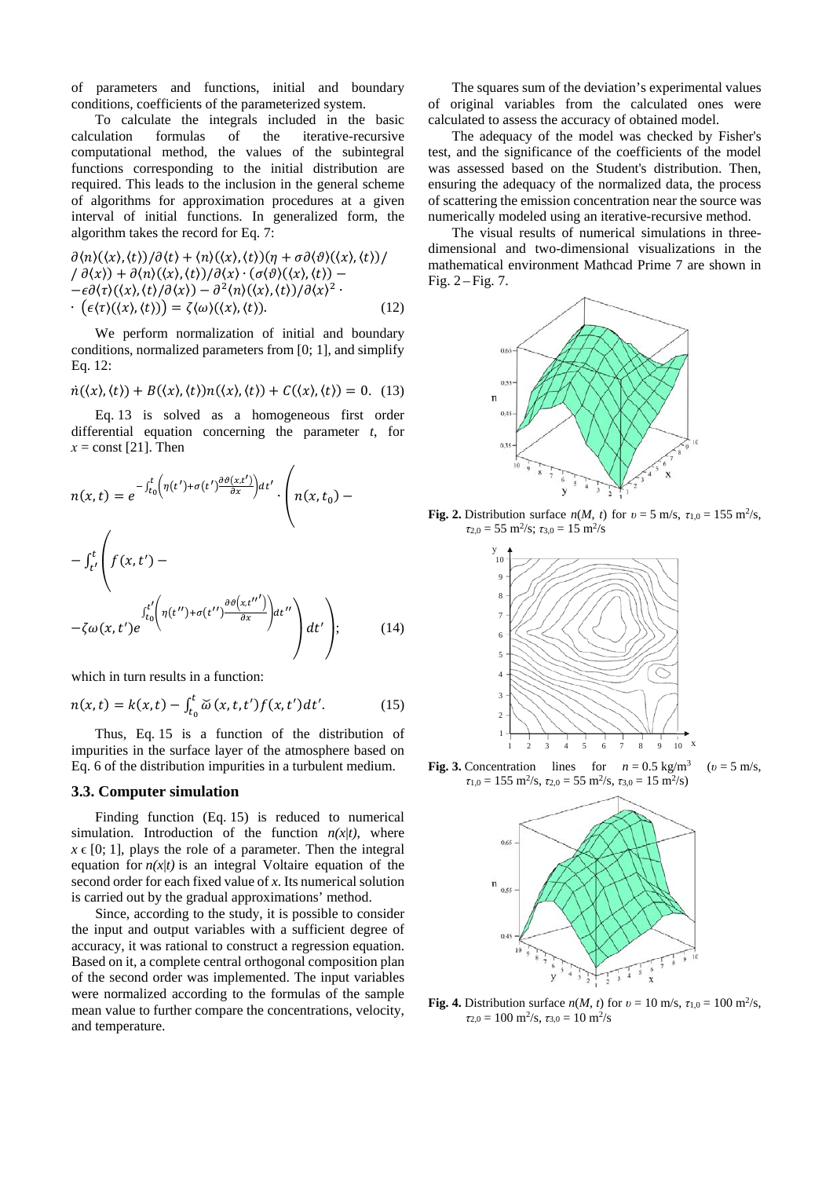of parameters and functions, initial and boundary conditions, coefficients of the parameterized system.

To calculate the integrals included in the basic calculation formulas of the iterative-recursive computational method, the values of the subintegral functions corresponding to the initial distribution are required. This leads to the inclusion in the general scheme of algorithms for approximation procedures at a given interval of initial functions. In generalized form, the algorithm takes the record for Eq. 7:

$$
\partial \langle n \rangle(\langle x \rangle, \langle t \rangle) / \partial \langle t \rangle + \langle n \rangle(\langle x \rangle, \langle t \rangle) (\eta + \sigma \partial \langle \vartheta \rangle(\langle x \rangle, \langle t \rangle)) / \n/ \partial \langle x \rangle + \partial \langle n \rangle(\langle x \rangle, \langle t \rangle) / \partial \langle x \rangle \cdot (\sigma \langle \vartheta \rangle(\langle x \rangle, \langle t \rangle) - \n- \epsilon \partial \langle \tau \rangle(\langle x \rangle, \langle t \rangle) / \partial \langle x \rangle) - \partial^2 \langle n \rangle(\langle x \rangle, \langle t \rangle) / \partial \langle x \rangle^2 \cdot \n(\epsilon \langle \tau \rangle(\langle x \rangle, \langle t \rangle)) = \zeta \langle \omega \rangle(\langle x \rangle, \langle t \rangle).
$$
\n(12)

We perform normalization of initial and boundary conditions, normalized parameters from [0; 1], and simplify Eq. 12:

$$
\dot{n}(\langle x \rangle, \langle t \rangle) + B(\langle x \rangle, \langle t \rangle) n(\langle x \rangle, \langle t \rangle) + C(\langle x \rangle, \langle t \rangle) = 0. \tag{13}
$$

Eq. 13 is solved as a homogeneous first order differential equation concerning the parameter *t*, for  $x =$ const [21]. Then

$$
n(x,t) = e^{-\int_{t_0}^t \left(\eta(t') + \sigma(t')\frac{\partial \vartheta(x,t')}{\partial x}\right)dt'} \cdot \left(n(x,t_0) - \int_{t'}^t \left(f(x,t') - \frac{\int_{t_0}^t \left(\eta(t'') + \sigma(t'')\frac{\partial \vartheta(x,t'')}{\partial x}\right)dt''}{\partial x'}\right)dt''\right)
$$
\n
$$
-\zeta \omega(x,t')e^{\int_{t_0}^{t'} \left(\eta(t'') + \sigma(t'')\frac{\partial \vartheta(x,t'')}{\partial x}\right)dt''}\right)
$$
\n(14)

which in turn results in a function:

$$
n(x,t) = k(x,t) - \int_{t_0}^{t} \breve{\omega}(x,t,t')f(x,t')dt'.
$$
 (15)

Thus, Eq. 15 is a function of the distribution of impurities in the surface layer of the atmosphere based on Eq. 6 of the distribution impurities in a turbulent medium.

### **3.3. Computer simulation**

Finding function (Eq. 15) is reduced to numerical simulation. Introduction of the function  $n(x|t)$ , where  $x \in [0; 1]$ , plays the role of a parameter. Then the integral equation for  $n(x|t)$  is an integral Voltaire equation of the second order for each fixed value of *x*. Its numerical solution is carried out by the gradual approximations' method.

Since, according to the study, it is possible to consider the input and output variables with a sufficient degree of accuracy, it was rational to construct a regression equation. Based on it, a complete central orthogonal composition plan of the second order was implemented. The input variables were normalized according to the formulas of the sample mean value to further compare the concentrations, velocity, and temperature.

The squares sum of the deviation's experimental values of original variables from the calculated ones were calculated to assess the accuracy of obtained model.

The adequacy of the model was checked by Fisher's test, and the significance of the coefficients of the model was assessed based on the Student's distribution. Then, ensuring the adequacy of the normalized data, the process of scattering the emission concentration near the source was numerically modeled using an iterative-recursive method.

The visual results of numerical simulations in threedimensional and two-dimensional visualizations in the mathematical environment Mathcad Prime 7 are shown in Fig.  $2 - Fig. 7$ .



**Fig.** 2. Distribution surface  $n(M, t)$  for  $v = 5$  m/s,  $\tau_{1,0} = 155$  m<sup>2</sup>/s,  $\tau_{2,0} = 55 \text{ m}^2/\text{s}$ ;  $\tau_{3,0} = 15 \text{ m}^2/\text{s}$ 



**Fig. 3.** Concentration lines for  $n = 0.5$  kg/m<sup>3</sup> ( $v = 5$  m/s,  $\tau_{1,0} = 155 \text{ m}^2/\text{s}, \tau_{2,0} = 55 \text{ m}^2/\text{s}, \tau_{3,0} = 15 \text{ m}^2/\text{s}$ 



**Fig.** 4. Distribution surface  $n(M, t)$  for  $v = 10$  m/s,  $\tau_{1,0} = 100$  m<sup>2</sup>/s, *τ*2,0 = 100 m2/s, *τ*3,0 = 10 m2/s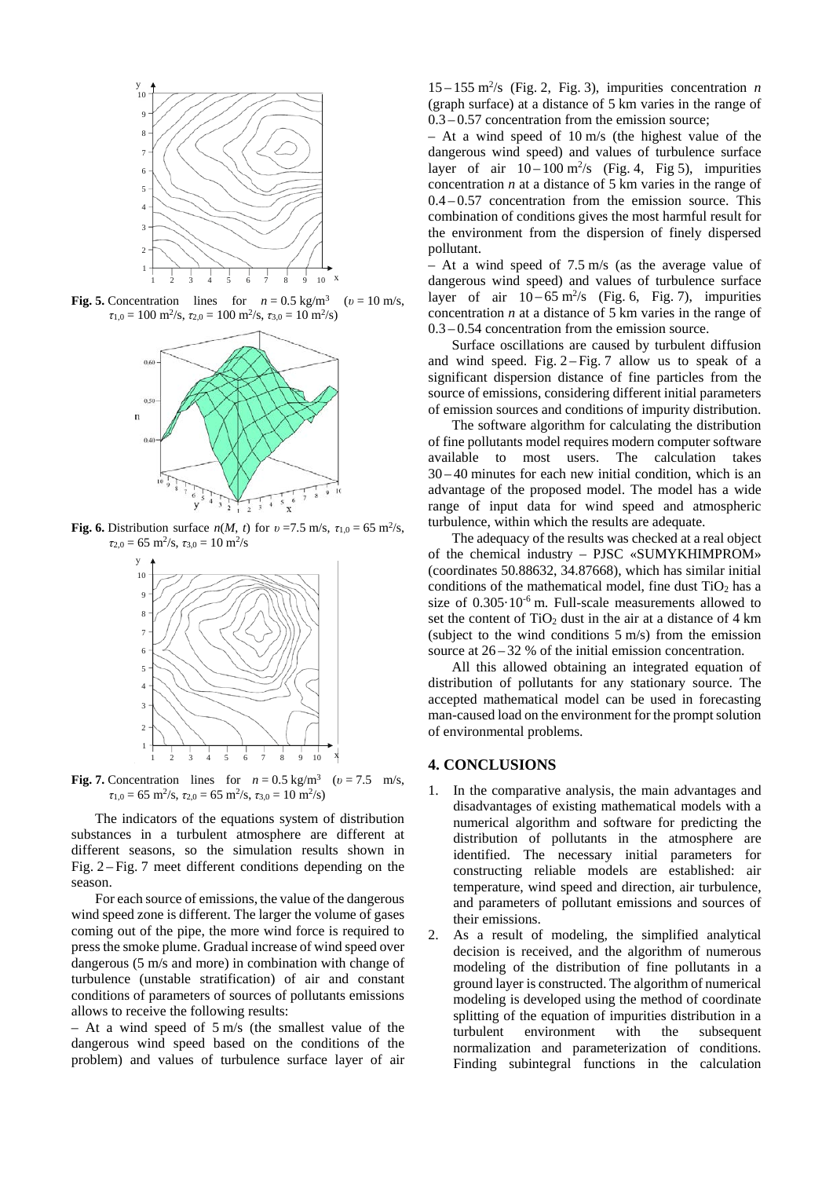

**Fig. 5.** Concentration lines for  $n = 0.5$  kg/m<sup>3</sup> ( $v = 10$  m/s,  $\tau_{1,0} = 100 \text{ m}^2/\text{s}, \tau_{2,0} = 100 \text{ m}^2/\text{s}, \tau_{3,0} = 10 \text{ m}^2/\text{s}$ 



**Fig.** 6. Distribution surface  $n(M, t)$  for  $v = 7.5$  m/s,  $\tau_{1,0} = 65$  m<sup>2</sup>/s,  $\tau_{2,0} = 65 \text{ m}^2/\text{s}, \tau_{3,0} = 10 \text{ m}^2/\text{s}$ 



**Fig. 7.** Concentration lines for  $n = 0.5$  kg/m<sup>3</sup> ( $v = 7.5$  m/s,  $\tau_{1,0} = 65 \text{ m}^2/\text{s}, \tau_{2,0} = 65 \text{ m}^2/\text{s}, \tau_{3,0} = 10 \text{ m}^2/\text{s}$ 

The indicators of the equations system of distribution substances in a turbulent atmosphere are different at different seasons, so the simulation results shown in Fig. 2 – Fig. 7 meet different conditions depending on the season.

For each source of emissions, the value of the dangerous wind speed zone is different. The larger the volume of gases coming out of the pipe, the more wind force is required to press the smoke plume. Gradual increase of wind speed over dangerous (5 m/s and more) in combination with change of turbulence (unstable stratification) of air and constant conditions of parameters of sources of pollutants emissions allows to receive the following results:

– At a wind speed of 5 m/s (the smallest value of the dangerous wind speed based on the conditions of the problem) and values of turbulence surface layer of air

 $15 - 155$  m<sup>2</sup>/s (Fig. 2, Fig. 3), impurities concentration *n* (graph surface) at a distance of 5 km varies in the range of  $0.3 - 0.57$  concentration from the emission source;

– At a wind speed of 10 m/s (the highest value of the dangerous wind speed) and values of turbulence surface layer of air  $10-100 \text{ m}^2/\text{s}$  (Fig. 4, Fig. 5), impurities concentration *n* at a distance of 5 km varies in the range of  $0.4 - 0.57$  concentration from the emission source. This combination of conditions gives the most harmful result for the environment from the dispersion of finely dispersed pollutant.

– At a wind speed of 7.5 m/s (as the average value of dangerous wind speed) and values of turbulence surface layer of air  $10-65$  m<sup>2</sup>/s (Fig. 6, Fig. 7), impurities concentration *n* at a distance of 5 km varies in the range of 0.3 – 0.54 concentration from the emission source.

Surface oscillations are caused by turbulent diffusion and wind speed. Fig.  $2 - Fig. 7$  allow us to speak of a significant dispersion distance of fine particles from the source of emissions, considering different initial parameters of emission sources and conditions of impurity distribution.

The software algorithm for calculating the distribution of fine pollutants model requires modern computer software available to most users. The calculation takes 30 – 40 minutes for each new initial condition, which is an advantage of the proposed model. The model has a wide range of input data for wind speed and atmospheric turbulence, within which the results are adequate.

The adequacy of the results was checked at a real object of the chemical industry – PJSC «SUMYKHIMPROM» (coordinates 50.88632, 34.87668), which has similar initial conditions of the mathematical model, fine dust  $TiO<sub>2</sub>$  has a size of  $0.305 \cdot 10^{-6}$  m. Full-scale measurements allowed to set the content of  $TiO<sub>2</sub>$  dust in the air at a distance of 4 km (subject to the wind conditions 5 m/s) from the emission source at 26 – 32 % of the initial emission concentration.

All this allowed obtaining an integrated equation of distribution of pollutants for any stationary source. The accepted mathematical model can be used in forecasting man-caused load on the environment for the prompt solution of environmental problems.

## **4. CONCLUSIONS**

- 1. In the comparative analysis, the main advantages and disadvantages of existing mathematical models with a numerical algorithm and software for predicting the distribution of pollutants in the atmosphere are identified. The necessary initial parameters for constructing reliable models are established: air temperature, wind speed and direction, air turbulence, and parameters of pollutant emissions and sources of their emissions.
- 2. As a result of modeling, the simplified analytical decision is received, and the algorithm of numerous modeling of the distribution of fine pollutants in a ground layer is constructed. The algorithm of numerical modeling is developed using the method of coordinate splitting of the equation of impurities distribution in a turbulent environment with the subsequent normalization and parameterization of conditions. Finding subintegral functions in the calculation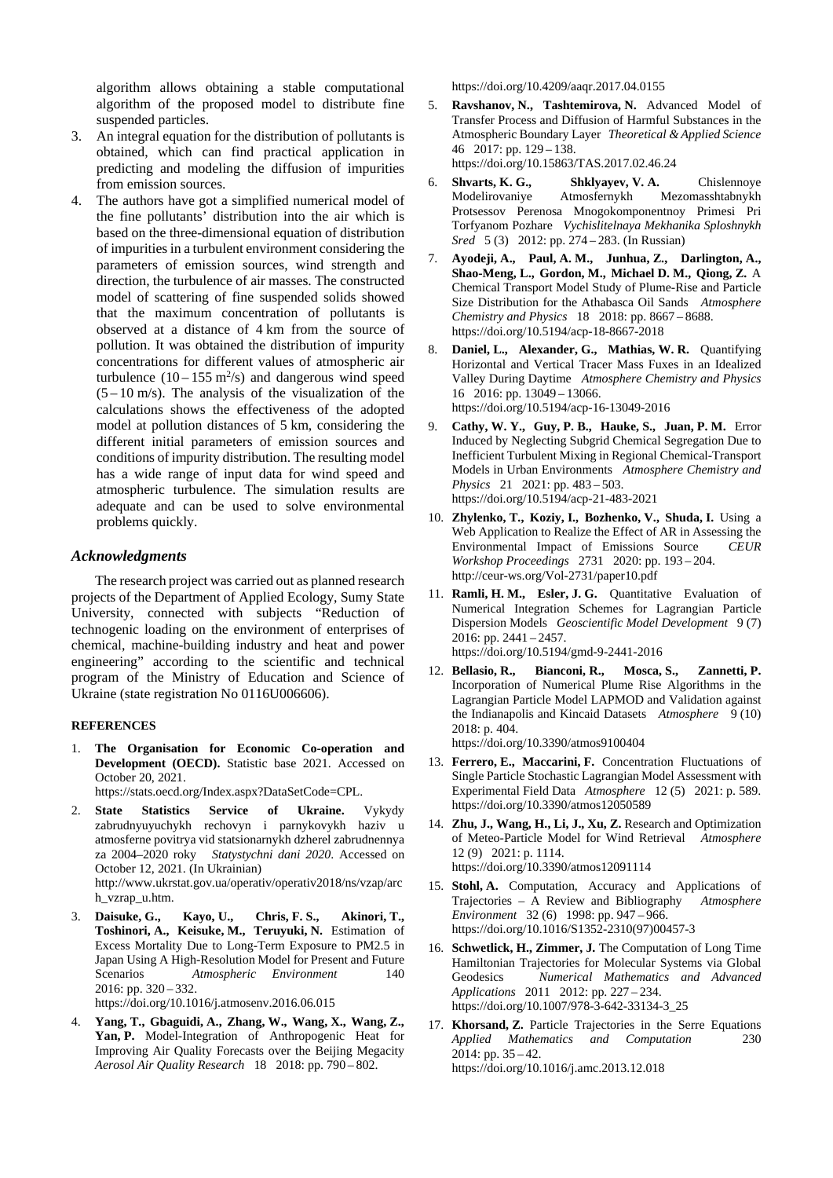algorithm allows obtaining a stable computational algorithm of the proposed model to distribute fine suspended particles.

- 3. An integral equation for the distribution of pollutants is obtained, which can find practical application in predicting and modeling the diffusion of impurities from emission sources.
- The authors have got a simplified numerical model of the fine pollutants' distribution into the air which is based on the three-dimensional equation of distribution of impurities in a turbulent environment considering the parameters of emission sources, wind strength and direction, the turbulence of air masses. The constructed model of scattering of fine suspended solids showed that the maximum concentration of pollutants is observed at a distance of 4 km from the source of pollution. It was obtained the distribution of impurity concentrations for different values of atmospheric air turbulence  $(10-155 \text{ m}^2/\text{s})$  and dangerous wind speed  $(5 - 10 \text{ m/s})$ . The analysis of the visualization of the calculations shows the effectiveness of the adopted model at pollution distances of 5 km, considering the different initial parameters of emission sources and conditions of impurity distribution. The resulting model has a wide range of input data for wind speed and atmospheric turbulence. The simulation results are adequate and can be used to solve environmental problems quickly.

### *Acknowledgments*

The research project was carried out as planned research projects of the Department of Applied Ecology, Sumy State University, connected with subjects "Reduction of technogenic loading on the environment of enterprises of chemical, machine-building industry and heat and power engineering" according to the scientific and technical program of the Ministry of Education and Science of Ukraine (state registration No 0116U006606).

### **REFERENCES**

1. **The Organisation for Economic Co-operation and Development (OECD).** Statistic base 2021. Accessed on October 20, 2021.

https://stats.oecd.org/Index.aspx?DataSetCode=CPL.

2. **State Statistics Service of Ukraine.** Vykydy zabrudnyuyuchykh rechovyn i parnykovykh haziv u atmosferne povitrya vid statsionarnykh dzherel zabrudnennya za 2004–2020 roky *Statystychni dani 2020*. Accessed on October 12, 2021. (In Ukrainian)

http://www.ukrstat.gov.ua/operativ/operativ2018/ns/vzap/arc h\_vzrap\_u.htm.

- 3. **Daisuke, G., Kayo, U., Chris, F. S., Akinori, T., Toshinori, A., Keisuke, M., Teruyuki, N.** Estimation of Excess Mortality Due to Long-Term Exposure to PM2.5 in Japan Using A High-Resolution Model for Present and Future Scenarios *Atmospheric Environment* 140 2016: pp. 320 – 332. https://doi.org/10.1016/j.atmosenv.2016.06.015
- 4. **Yang, T., Gbaguidi, A., Zhang, W., Wang, X., Wang, Z., Yan, P.** Model-Integration of Anthropogenic Heat for Improving Air Quality Forecasts over the Beijing Megacity *Aerosol Air Quality Research* 18 2018: pp. 790 – 802.

https://doi.org/10.4209/aaqr.2017.04.0155

- 5. **Ravshanov, N., Tashtemirova, N.** Advanced Model of Transfer Process and Diffusion of Harmful Substances in the Atmospheric Boundary Layer *Theoretical & Applied Science* 46 2017: pp. 129 – 138. https://doi.org/10.15863/TAS.2017.02.46.24
- 6. **Shvarts, K. G., Shklyayev, V. A.** Chislennoye Modelirovaniye Atmosfernykh Mezomasshtabnykh Protsessov Perenosa Mnogokomponentnoy Primesi Pri Torfyanom Pozhare *Vychislitelnaya Mekhanika Sploshnykh Sred* 5 (3) 2012: pp. 274 – 283. (In Russian)
- 7. **Ayodeji, A., Paul, A. M., Junhua, Z., Darlington, A., Shao-Meng, L., Gordon, M., Michael D. M., Qiong, Z.** A Chemical Transport Model Study of Plume-Rise and Particle Size Distribution for the Athabasca Oil Sands *Atmosphere Chemistry and Physics* 18 2018: pp. 8667 – 8688. https://doi.org/10.5194/acp-18-8667-2018
- 8. **Daniel, L., Alexander, G., Mathias, W. R.** Quantifying Horizontal and Vertical Tracer Mass Fuxes in an Idealized Valley During Daytime *Atmosphere Chemistry and Physics* 16 2016: pp. 13049 – 13066. https://doi.org/10.5194/acp-16-13049-2016
- 9. **Cathy, W. Y., Guy, P. B., Hauke, S., Juan, P. M.** Error Induced by Neglecting Subgrid Chemical Segregation Due to Inefficient Turbulent Mixing in Regional Chemical-Transport Models in Urban Environments *Atmosphere Chemistry and Physics* 21 2021: pp. 483 – 503. https://doi.org/10.5194/acp-21-483-2021
- 10. **Zhylenko, T., Koziy, I., Bozhenko, V., Shuda, I.** Using a Web Application to Realize the Effect of AR in Assessing the Environmental Impact of Emissions Source *CEUR Workshop Proceedings* 2731 2020: pp. 193 – 204. http://ceur-ws.org/Vol-2731/paper10.pdf
- 11. **Ramli, H. M., Esler, J. G.** Quantitative Evaluation of Numerical Integration Schemes for Lagrangian Particle Dispersion Models *Geoscientific Model Development* 9 (7) 2016: pp. 2441 – 2457. https://doi.org/10.5194/gmd-9-2441-2016
- 12. **Bellasio, R., Bianconi, R., Mosca, S., Zannetti, P.** Incorporation of Numerical Plume Rise Algorithms in the Lagrangian Particle Model LAPMOD and Validation against the Indianapolis and Kincaid Datasets *Atmosphere* 9 (10) 2018: p. 404. https://doi.org/10.3390/atmos9100404

13. **Ferrero, E., Maccarini, F.** Concentration Fluctuations of

- Single Particle Stochastic Lagrangian Model Assessment with Experimental Field Data *Atmosphere* 12 (5) 2021: p. 589. https://doi.org/10.3390/atmos12050589
- 14. **Zhu, J., Wang, H., Li, J., Xu, Z.** Research and Optimization of Meteo-Particle Model for Wind Retrieval *Atmosphere*  12 (9) 2021: p. 1114. https://doi.org/10.3390/atmos12091114
- 15. **Stohl, A.** Computation, Accuracy and Applications of Trajectories – A Review and Bibliography *Atmosphere Environment* 32 (6) 1998: pp. 947 – 966. https://doi.org/10.1016/S1352-2310(97)00457-3
- 16. **Schwetlick, H., Zimmer, J.** The Computation of Long Time Hamiltonian Trajectories for Molecular Systems via Global Geodesics *Numerical Mathematics and Advanced Applications* 2011 2012: pp. 227 – 234. https://doi.org/10.1007/978-3-642-33134-3\_25
- 17. **Khorsand, Z.** Particle Trajectories in the Serre Equations *Applied Mathematics and Computation* 230 2014: pp. 35 – 42. https://doi.org/10.1016/j.amc.2013.12.018